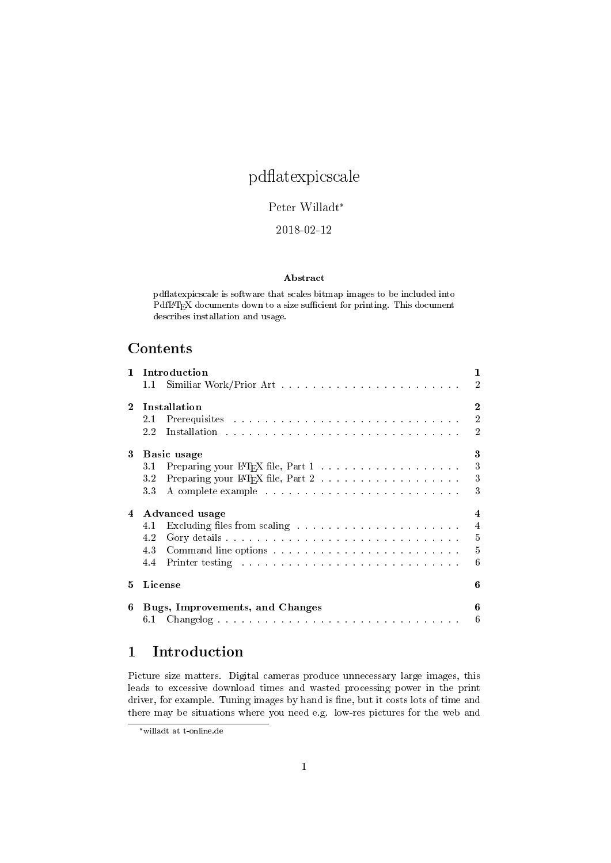# pd
atexpicscale

## Peter Willadt\*

## 2018-02-12

#### Abstract

pd
atexpicscale is software that scales bitmap images to be included into PdfL<sup>AT</sup>EX documents down to a size sufficient for printing. This document describes installation and usage.

# **Contents**

|                | 1<br>1 Introduction |                                                                                                                                                                                                                                     |  |  |
|----------------|---------------------|-------------------------------------------------------------------------------------------------------------------------------------------------------------------------------------------------------------------------------------|--|--|
|                | $1.1 -$             | $\overline{2}$                                                                                                                                                                                                                      |  |  |
| $2^{\circ}$    |                     | $\overline{2}$<br>Installation                                                                                                                                                                                                      |  |  |
|                | 2.1                 | $\overline{2}$                                                                                                                                                                                                                      |  |  |
|                | 2.2                 | $\overline{2}$                                                                                                                                                                                                                      |  |  |
| 3              | 3<br>Basic usage    |                                                                                                                                                                                                                                     |  |  |
|                | 31                  | 3                                                                                                                                                                                                                                   |  |  |
|                | 3.2                 | 3                                                                                                                                                                                                                                   |  |  |
|                | 33                  | 3<br>A complete example response to the contract of the contract of the contract of the contract of the contract of the contract of the contract of the contract of the contract of the contract of the contract of the contract of |  |  |
| $\overline{4}$ |                     | $\overline{4}$<br>Advanced usage                                                                                                                                                                                                    |  |  |
|                | 4.1                 | $\overline{4}$                                                                                                                                                                                                                      |  |  |
|                | 4.2                 | $\overline{5}$                                                                                                                                                                                                                      |  |  |
|                | 4.3                 | $\overline{5}$                                                                                                                                                                                                                      |  |  |
|                | 4.4                 | 6<br>Printer testing response to the contract of the contract of the Printer of the contract of the contract of the contract of the contract of the contract of the contract of the contract of the contract of the contract of the |  |  |
| 5.             | License             | 6                                                                                                                                                                                                                                   |  |  |
| 6              |                     | 6<br>Bugs, Improvements, and Changes                                                                                                                                                                                                |  |  |
|                | 6.1                 |                                                                                                                                                                                                                                     |  |  |

# 1 Introduction

Picture size matters. Digital cameras produce unnecessary large images, this leads to excessive download times and wasted processing power in the print driver, for example. Tuning images by hand is fine, but it costs lots of time and there may be situations where you need e.g. low-res pictures for the web and

<sup>\*</sup>willadt at t-online.de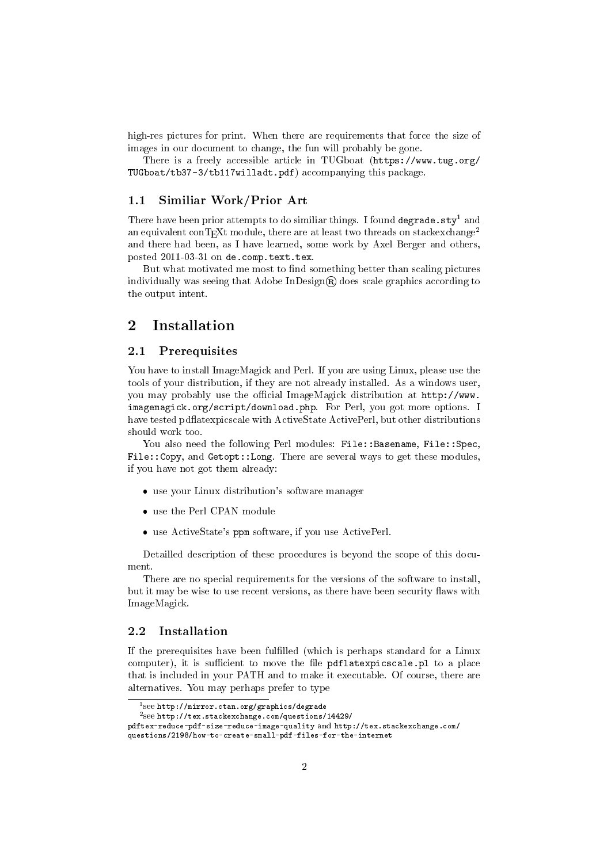high-res pictures for print. When there are requirements that force the size of images in our document to change, the fun will probably be gone.

There is a freely accessible article in TUGboat (https://www.tug.org/ TUGboat/tb37-3/tb117willadt.pdf) accompanying this package.

## 1.1 Similiar Work/Prior Art

There have been prior attempts to do similiar things. I found degrade.sty<sup>1</sup> and an equivalent conTEXt module, there are at least two threads on stackexchange<sup>2</sup> and there had been, as I have learned, some work by Axel Berger and others, posted 2011-03-31 on de.comp.text.tex.

But what motivated me most to find something better than scaling pictures individually was seeing that Adobe  $InDesign \mathbb{R}$  does scale graphics according to the output intent.

## 2 Installation

#### 2.1 Prerequisites

You have to install ImageMagick and Perl. If you are using Linux, please use the tools of your distribution, if they are not already installed. As a windows user, you may probably use the official ImageMagick distribution at http://www. imagemagick.org/script/download.php. For Perl, you got more options. I have tested pdflatexpicscale with ActiveState ActivePerl, but other distributions should work too.

You also need the following Perl modules: File::Basename, File::Spec, File::Copy, and Getopt::Long. There are several ways to get these modules, if you have not got them already:

- use your Linux distribution's software manager
- use the Perl CPAN module
- use ActiveState's ppm software, if you use ActivePerl.

Detailled description of these procedures is beyond the scope of this document.

There are no special requirements for the versions of the software to install, but it may be wise to use recent versions, as there have been security flaws with ImageMagick.

#### 2.2 Installation

If the prerequisites have been fulfilled (which is perhaps standard for a Linux computer), it is sufficient to move the file  $pdflatexpicscale.pl$  to a place that is included in your PATH and to make it executable. Of course, there are alternatives. You may perhaps prefer to type

<sup>1</sup> see http://mirror.ctan.org/graphics/degrade

<sup>2</sup> see http://tex.stackexchange.com/questions/14429/

pdftex-reduce-pdf-size-reduce-image-quality and http://tex.stackexchange.com/

questions/2198/how-to-create-small-pdf-files-for-the-internet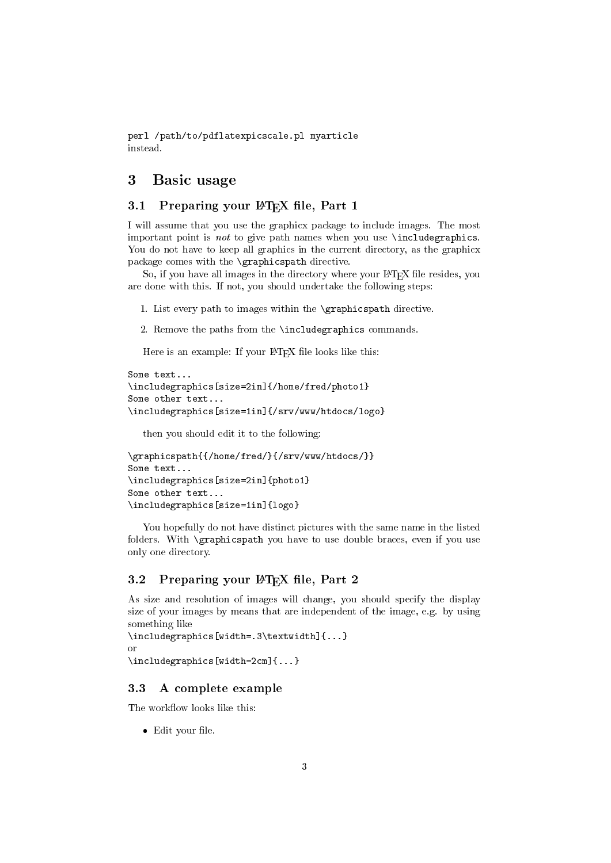perl /path/to/pdflatexpicscale.pl myarticle instead.

# 3 Basic usage

# 3.1 Preparing your PTFX file, Part 1

I will assume that you use the graphicx package to include images. The most important point is not to give path names when you use \includegraphics. You do not have to keep all graphics in the current directory, as the graphicx package comes with the \graphicspath directive.

So, if you have all images in the directory where your LAT<sub>E</sub>X file resides, you are done with this. If not, you should undertake the following steps:

1. List every path to images within the \graphicspath directive.

2. Remove the paths from the \includegraphics commands.

Here is an example: If your IATEX file looks like this:

```
Some text...
\includegraphics[size=2in]{/home/fred/photo1}
Some other text...
\includegraphics[size=1in]{/srv/www/htdocs/logo}
```
then you should edit it to the following:

```
\graphicspath{{/home/fred/}{/srv/www/htdocs/}}
Some text...
\includegraphics[size=2in]{photo1}
Some other text...
\includegraphics[size=1in]{logo}
```
You hopefully do not have distinct pictures with the same name in the listed folders. With \graphicspath you have to use double braces, even if you use only one directory.

## 3.2 Preparing your  $\mathbb{F}T_FX$  file, Part 2

As size and resolution of images will change, you should specify the display size of your images by means that are independent of the image, e.g. by using something like

```
\includegraphics[width=.3\textwidth]{...}
or
\includegraphics[width=2cm]{...}
```
## 3.3 A complete example

The workflow looks like this:

 $\bullet$  Edit your file.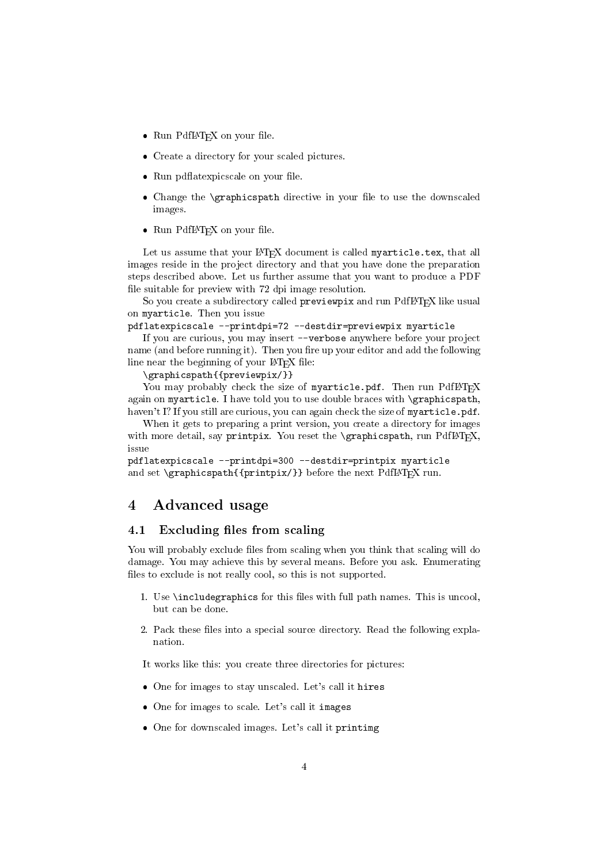- Run PdfLAT<sub>EX</sub> on your file.
- Create a directory for your scaled pictures.
- Run pdflatexpicscale on your file.
- Change the \graphicspath directive in your file to use the downscaled images.
- Run PdfL<sup>AT</sup>EX on your file.

Let us assume that your LATEX document is called myarticle.tex, that all images reside in the project directory and that you have done the preparation steps described above. Let us further assume that you want to produce a PDF file suitable for preview with 72 dpi image resolution.

So you create a subdirectory called previewpix and run PdfIATEX like usual on myarticle. Then you issue

pdflatexpicscale --printdpi=72 --destdir=previewpix myarticle

If you are curious, you may insert --verbose anywhere before your project name (and before running it). Then you fire up your editor and add the following line near the beginning of your  $\mathbb{F}$ F<sub>E</sub>X file:

\graphicspath{{previewpix/}}

You may probably check the size of myarticle.pdf. Then run PdfLATFX again on myarticle. I have told you to use double braces with \graphicspath, haven't I? If you still are curious, you can again check the size of myarticle.pdf.

When it gets to preparing a print version, you create a directory for images with more detail, say printpix. You reset the  $\qquad$ graphicspath, run PdfL<sup>AT</sup>EX, issue

```
pdflatexpicscale --printdpi=300 --destdir=printpix myarticle
and set \sqrt{p^2 + p^2} supposite \frac{p^2}{p^2} and set \sqrt{p^2 + p^2} run.
```
## 4 Advanced usage

#### 4.1 Excluding files from scaling

You will probably exclude files from scaling when you think that scaling will do damage. You may achieve this by several means. Before you ask. Enumerating files to exclude is not really cool, so this is not supported.

- 1. Use \includegraphics for this files with full path names. This is uncool, but can be done.
- 2. Pack these files into a special source directory. Read the following explanation.

It works like this: you create three directories for pictures:

- One for images to stay unscaled. Let's call it hires
- One for images to scale. Let's call it images
- One for downscaled images. Let's call it printimg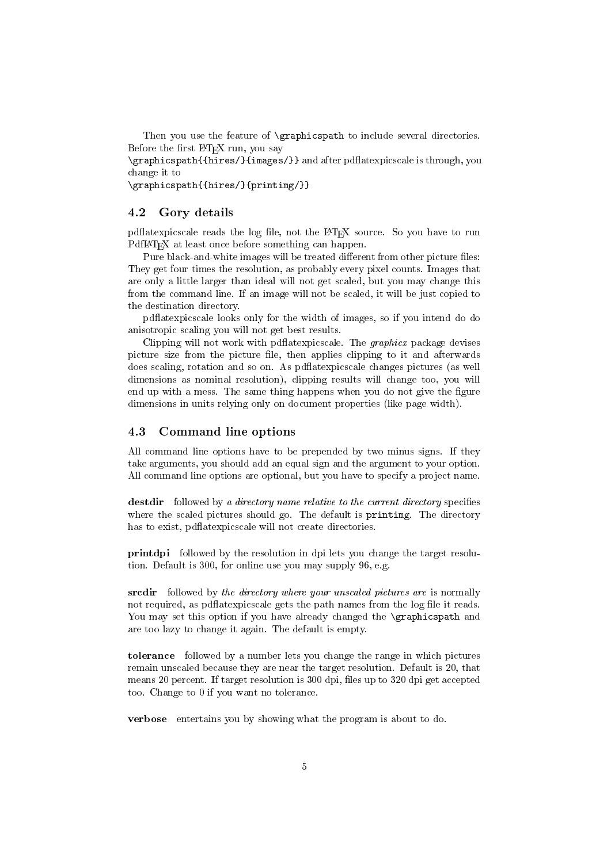Then you use the feature of **\graphicspath** to include several directories. Before the first LAT<sub>E</sub>X run, you say

\graphicspath{{hires/}{images/}} and after pd
atexpicscale is through, you change it to

\graphicspath{{hires/}{printimg/}}

#### 4.2 Gory details

pdflat expires a reads the log file, not the LAT<sub>EX</sub> source. So you have to run PdfLAT<sub>EX</sub> at least once before something can happen.

Pure black-and-white images will be treated different from other picture files: They get four times the resolution, as probably every pixel counts. Images that are only a little larger than ideal will not get scaled, but you may change this from the command line. If an image will not be scaled, it will be just copied to the destination directory.

pd
atexpicscale looks only for the width of images, so if you intend do do anisotropic scaling you will not get best results.

Clipping will not work with pdflatexpicscale. The *graphicx* package devises picture size from the picture file, then applies clipping to it and afterwards does scaling, rotation and so on. As pd
atexpicscale changes pictures (as well dimensions as nominal resolution), clipping results will change too, you will end up with a mess. The same thing happens when you do not give the figure dimensions in units relying only on document properties (like page width).

## 4.3 Command line options

All command line options have to be prepended by two minus signs. If they take arguments, you should add an equal sign and the argument to your option. All command line options are optional, but you have to specify a project name.

destdir followed by a directory name relative to the current directory specifies where the scaled pictures should go. The default is printimg. The directory has to exist, pd
atexpicscale will not create directories.

printdpi followed by the resolution in dpi lets you change the target resolution. Default is 300, for online use you may supply 96, e.g.

srcdir followed by the directory where your unscaled pictures are is normally not required, as pdflat expires alle gets the path names from the log file it reads. You may set this option if you have already changed the **\graphicspath** and are too lazy to change it again. The default is empty.

tolerance followed by a number lets you change the range in which pictures remain unscaled because they are near the target resolution. Default is 20, that means 20 percent. If target resolution is 300 dpi, files up to 320 dpi get accepted too. Change to 0 if you want no tolerance.

verbose entertains you by showing what the program is about to do.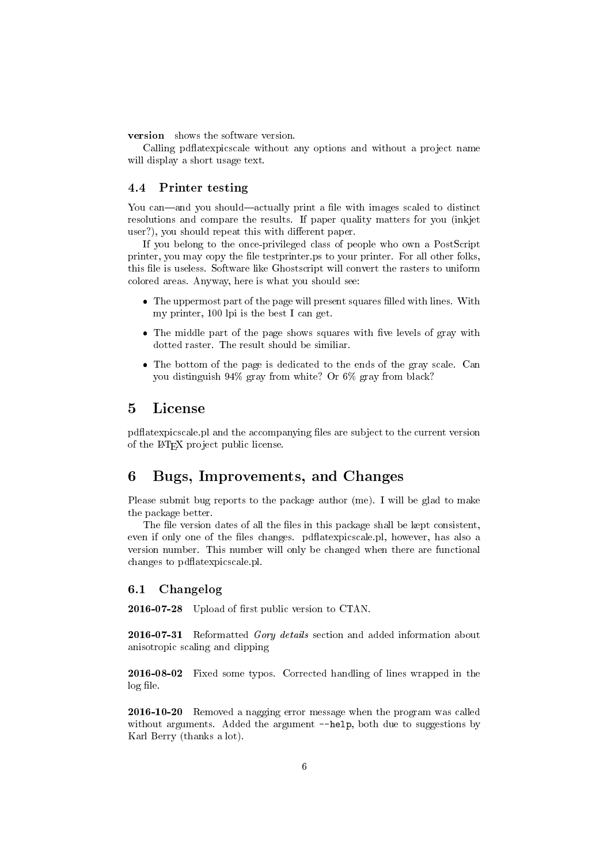version shows the software version.

Calling pdflatexpicscale without any options and without a project name will display a short usage text.

## 4.4 Printer testing

You can—and you should—actually print a file with images scaled to distinct resolutions and compare the results. If paper quality matters for you (inkjet user?), you should repeat this with different paper.

If you belong to the once-privileged class of people who own a PostScript printer, you may copy the file testprinter ps to your printer. For all other folks, this file is useless. Software like Ghostscript will convert the rasters to uniform colored areas. Anyway, here is what you should see:

- The uppermost part of the page will present squares filled with lines. With my printer, 100 lpi is the best I can get.
- $\bullet$  The middle part of the page shows squares with five levels of gray with dotted raster. The result should be similiar.
- The bottom of the page is dedicated to the ends of the gray scale. Can you distinguish 94% gray from white? Or 6% gray from black?

## 5 License

pdflat expirescale. pl and the accompanying files are subject to the current version of the L<sup>A</sup>TEX project public license.

# 6 Bugs, Improvements, and Changes

Please submit bug reports to the package author (me). I will be glad to make the package better.

The file version dates of all the files in this package shall be kept consistent, even if only one of the files changes. pdflatexpicscale.pl, however, has also a version number. This number will only be changed when there are functional changes to pd
atexpicscale.pl.

#### 6.1 Changelog

2016-07-28 Upload of first public version to CTAN.

2016-07-31 Reformatted Gory details section and added information about anisotropic scaling and clipping

2016-08-02 Fixed some typos. Corrected handling of lines wrapped in the log file.

2016-10-20 Removed a nagging error message when the program was called without arguments. Added the argument  $-\text{help}$ , both due to suggestions by Karl Berry (thanks a lot).